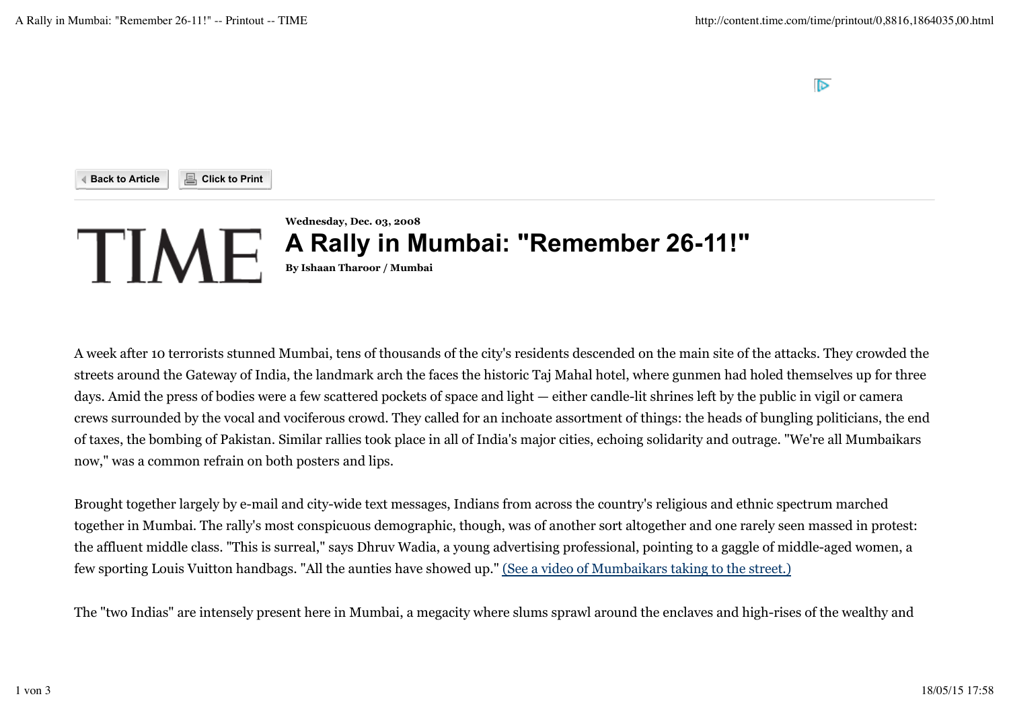$\triangleright$ 



A week after 10 terrorists stunned Mumbai, tens of thousands of the city's residents descended on the main site of the attacks. They crowded the streets around the Gateway of India, the landmark arch the faces the historic Taj Mahal hotel, where gunmen had holed themselves up for three days. Amid the press of bodies were a few scattered pockets of space and light — either candle-lit shrines left by the public in vigil or camera crews surrounded by the vocal and vociferous crowd. They called for an inchoate assortment of things: the heads of bungling politicians, the end of taxes, the bombing of Pakistan. Similar rallies took place in all of India's major cities, echoing solidarity and outrage. "We're all Mumbaikars now," was a common refrain on both posters and lips.

Brought together largely by e-mail and city-wide text messages, Indians from across the country's religious and ethnic spectrum marched together in Mumbai. The rally's most conspicuous demographic, though, was of another sort altogether and one rarely seen massed in protest: the affluent middle class. "This is surreal," says Dhruv Wadia, a young advertising professional, pointing to a gaggle of middle-aged women, a few sporting Louis Vuitton handbags. "All the aunties have showed up." (See a video of Mumbaikars taking to the street.)

The "two Indias" are intensely present here in Mumbai, a megacity where slums sprawl around the enclaves and high-rises of the wealthy and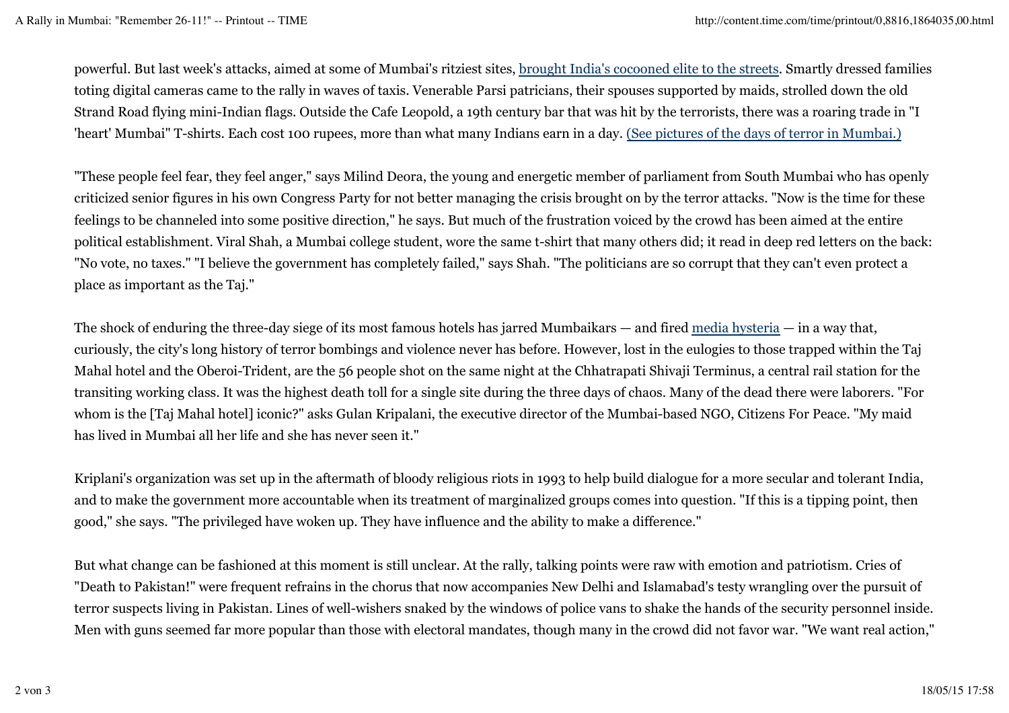powerful. But last week's attacks, aimed at some of Mumbai's ritziest sites, brought India's cocooned elite to the streets. Smartly dressed families toting digital cameras came to the rally in waves of taxis. Venerable Parsi patricians, their spouses supported by maids, strolled down the old Strand Road flying mini-Indian flags. Outside the Cafe Leopold, a 19th century bar that was hit by the terrorists, there was a roaring trade in "I 'heart' Mumbai" T-shirts. Each cost 100 rupees, more than what many Indians earn in a day. (See pictures of the days of terror in Mumbai.)

"These people feel fear, they feel anger," says Milind Deora, the young and energetic member of parliament from South Mumbai who has openly criticized senior figures in his own Congress Party for not better managing the crisis brought on by the terror attacks. "Now is the time for these feelings to be channeled into some positive direction," he says. But much of the frustration voiced by the crowd has been aimed at the entire political establishment. Viral Shah, a Mumbai college student, wore the same t-shirt that many others did; it read in deep red letters on the back: "No vote, no taxes." "I believe the government has completely failed," says Shah. "The politicians are so corrupt that they can't even protect a place as important as the Taj."

The shock of enduring the three-day siege of its most famous hotels has jarred Mumbaikars — and fired media hysteria — in a way that, curiously, the city's long history of terror bombings and violence never has before. However, lost in the eulogies to those trapped within the Taj Mahal hotel and the Oberoi-Trident, are the 56 people shot on the same night at the Chhatrapati Shivaji Terminus, a central rail station for the transiting working class. It was the highest death toll for a single site during the three days of chaos. Many of the dead there were laborers. "For whom is the [Taj Mahal hotel] iconic?" asks Gulan Kripalani, the executive director of the Mumbai-based NGO, Citizens For Peace. "My maid has lived in Mumbai all her life and she has never seen it."

Kriplani's organization was set up in the aftermath of bloody religious riots in 1993 to help build dialogue for a more secular and tolerant India, and to make the government more accountable when its treatment of marginalized groups comes into question. "If this is a tipping point, then good," she says. "The privileged have woken up. They have influence and the ability to make a difference."

But what change can be fashioned at this moment is still unclear. At the rally, talking points were raw with emotion and patriotism. Cries of "Death to Pakistan!" were frequent refrains in the chorus that now accompanies New Delhi and Islamabad's testy wrangling over the pursuit of terror suspects living in Pakistan. Lines of well-wishers snaked by the windows of police vans to shake the hands of the security personnel inside. Men with guns seemed far more popular than those with electoral mandates, though many in the crowd did not favor war. "We want real action,"